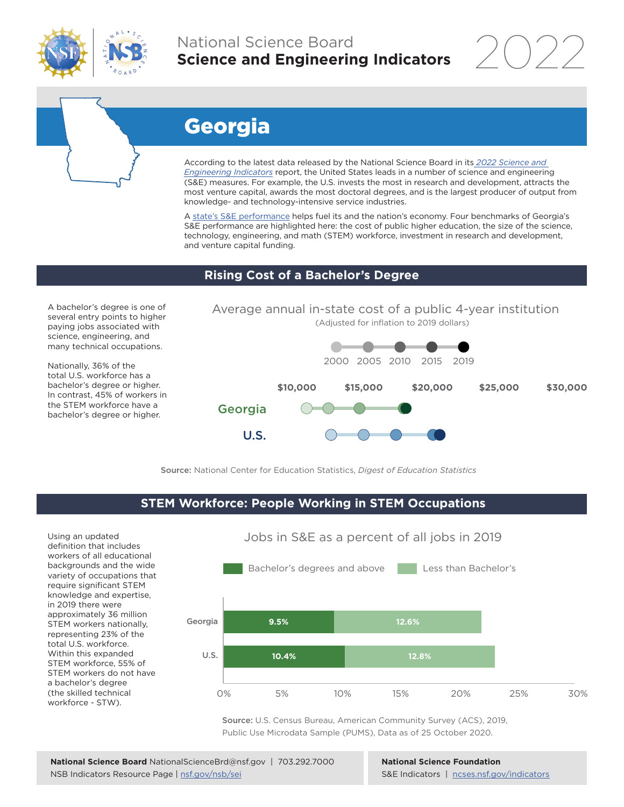

## National Science Board **Science and Engineering Indicators**

2022



# Georgia

According to the latest data released by the National Science Board in its *[2022 Science and](https://www.ncses.nsf.gov/indicators)  [Engineering Indicators](https://www.ncses.nsf.gov/indicators)* report, the United States leads in a number of science and engineering (S&E) measures. For example, the U.S. invests the most in research and development, attracts the most venture capital, awards the most doctoral degrees, and is the largest producer of output from knowledge- and technology-intensive service industries.

A state's S&E performance helps fuel its and the nation's economy. Four benchmarks of Georgia's S&E performance are highlighted here: the cost of public higher education, the size of the science, technology, engineering, and math (STEM) workforce, investment in research and development, and venture capital funding.

#### **Rising Cost of a Bachelor's Degree**

A bachelor's degree is one of several entry points to higher paying jobs associated with science, engineering, and many technical occupations.

Nationally, 36% of the total U.S. workforce has a bachelor's degree or higher. In contrast, 45% of workers in the STEM workforce have a bachelor's degree or higher.



Source: National Center for Education Statistics, *Digest of Education Statistics*

#### **STEM Workforce: People Working in STEM Occupations**

Using an updated definition that includes workers of all educational backgrounds and the wide variety of occupations that require significant STEM knowledge and expertise, in 2019 there were approximately 36 million STEM workers nationally, representing 23% of the total U.S. workforce. Within this expanded STEM workforce, 55% of STEM workers do not have a bachelor's degree (the skilled technical workforce - STW).



Source: U.S. Census Bureau, American Community Survey (ACS), 2019, Public Use Microdata Sample (PUMS), Data as of 25 October 2020.

**National Science Foundation** S&E Indicators | [ncses.nsf.gov/indicators](https://www.ncses.nsf.gov/indicators)

### Jobs in S&E as a percent of all jobs in 2019